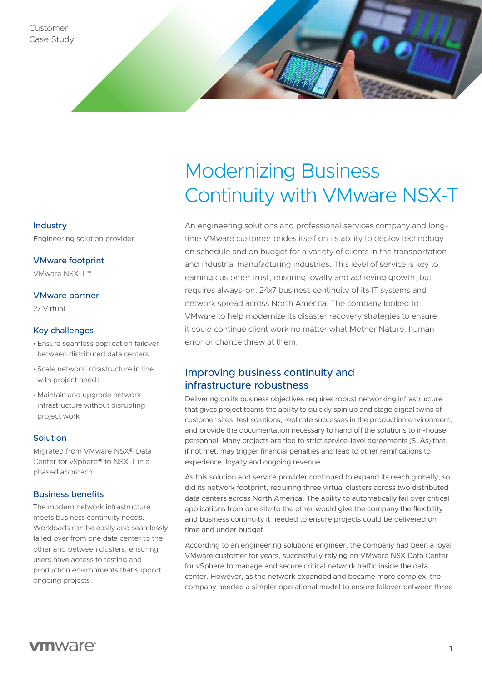## Industry

Engineering solution provider

VMware footprint

VMware NSX-T™

## VMware partner

27 Virtual

### Key challenges

- •Ensure seamless application failover between distributed data centers
- •Scale network infrastructure in line with project needs
- •Maintain and upgrade network infrastructure without disrupting project work

### Solution

Migrated from VMware NSX® Data Center for vSphere® to NSX-T in a phased approach.

## Business benefits

The modern network infrastructure meets business continuity needs. Workloads can be easily and seamlessly failed over from one data center to the other and between clusters, ensuring users have access to testing and production environments that support ongoing projects.

# Modernizing Business Continuity with VMware NSX-T

An engineering solutions and professional services company and longtime VMware customer prides itself on its ability to deploy technology on schedule and on budget for a variety of clients in the transportation and industrial manufacturing industries. This level of service is key to earning customer trust, ensuring loyalty and achieving growth, but requires always-on, 24x7 business continuity of its IT systems and network spread across North America. The company looked to VMware to help modernize its disaster recovery strategies to ensure it could continue client work no matter what Mother Nature, human error or chance threw at them.

# Improving business continuity and infrastructure robustness

Delivering on its business objectives requires robust networking infrastructure that gives project teams the ability to quickly spin up and stage digital twins of customer sites, test solutions, replicate successes in the production environment, and provide the documentation necessary to hand off the solutions to in-house personnel. Many projects are tied to strict service-level agreements (SLAs) that, if not met, may trigger financial penalties and lead to other ramifications to experience, loyalty and ongoing revenue.

As this solution and service provider continued to expand its reach globally, so did its network footprint, requiring three virtual clusters across two distributed data centers across North America. The ability to automatically fail over critical applications from one site to the other would give the company the flexibility and business continuity it needed to ensure projects could be delivered on time and under budget.

According to an engineering solutions engineer, the company had been a loyal VMware customer for years, successfully relying on VMware NSX Data Center for vSphere to manage and secure critical network traffic inside the data center. However, as the network expanded and became more complex, the company needed a simpler operational model to ensure failover between three